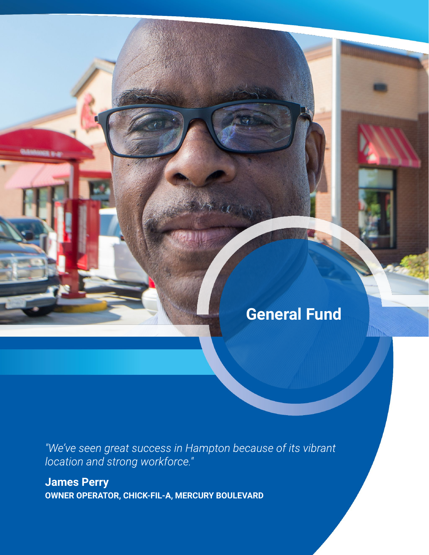# **General Fund**

"We've seen great success in Hampton because of its vibrant location and strong workforce."

**James Perry OWNER OPERATOR, CHICK-FIL-A, MERCURY BOULEVARD**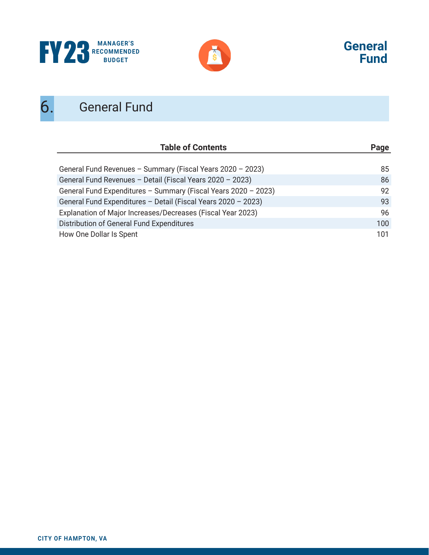





# 6. General Fund

| <b>Table of Contents</b>                                       | Page |
|----------------------------------------------------------------|------|
|                                                                |      |
| General Fund Revenues - Summary (Fiscal Years 2020 - 2023)     | 85   |
| General Fund Revenues - Detail (Fiscal Years 2020 - 2023)      | 86   |
| General Fund Expenditures - Summary (Fiscal Years 2020 - 2023) | 92   |
| General Fund Expenditures - Detail (Fiscal Years 2020 - 2023)  | 93   |
| Explanation of Major Increases/Decreases (Fiscal Year 2023)    | 96   |
| Distribution of General Fund Expenditures                      | 100  |
| How One Dollar Is Spent                                        | 101  |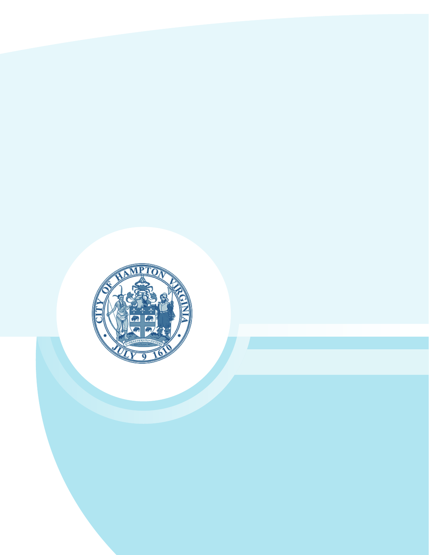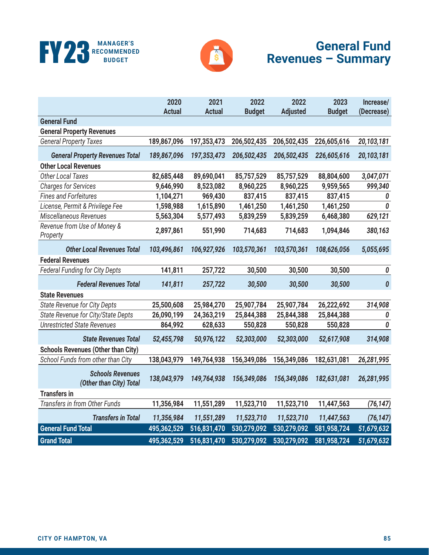



# **General Fund Revenues – Summary**

|                                                    | 2020          | 2021          | 2022          | 2022            | 2023          | Increase/        |
|----------------------------------------------------|---------------|---------------|---------------|-----------------|---------------|------------------|
|                                                    | <b>Actual</b> | <b>Actual</b> | <b>Budget</b> | <b>Adjusted</b> | <b>Budget</b> | (Decrease)       |
| <b>General Fund</b>                                |               |               |               |                 |               |                  |
| <b>General Property Revenues</b>                   |               |               |               |                 |               |                  |
| <b>General Property Taxes</b>                      | 189,867,096   | 197,353,473   | 206,502,435   | 206,502,435     | 226,605,616   | 20,103,181       |
| <b>General Property Revenues Total</b>             | 189,867,096   | 197,353,473   | 206,502,435   | 206,502,435     | 226,605,616   | 20,103,181       |
| <b>Other Local Revenues</b>                        |               |               |               |                 |               |                  |
| <b>Other Local Taxes</b>                           | 82,685,448    | 89,690,041    | 85,757,529    | 85,757,529      | 88,804,600    | 3,047,071        |
| <b>Charges for Services</b>                        | 9,646,990     | 8,523,082     | 8,960,225     | 8,960,225       | 9,959,565     | 999,340          |
| <b>Fines and Forfeitures</b>                       | 1,104,271     | 969,430       | 837,415       | 837,415         | 837,415       | 0                |
| License, Permit & Privilege Fee                    | 1,598,988     | 1,615,890     | 1,461,250     | 1,461,250       | 1,461,250     | 0                |
| Miscellaneous Revenues                             | 5,563,304     | 5,577,493     | 5,839,259     | 5,839,259       | 6,468,380     | 629,121          |
| Revenue from Use of Money &<br>Property            | 2,897,861     | 551,990       | 714,683       | 714,683         | 1,094,846     | 380,163          |
| <b>Other Local Revenues Total</b>                  | 103,496,861   | 106,927,926   | 103,570,361   | 103,570,361     | 108,626,056   | 5,055,695        |
| <b>Federal Revenues</b>                            |               |               |               |                 |               |                  |
| <b>Federal Funding for City Depts</b>              | 141,811       | 257,722       | 30,500        | 30,500          | 30,500        | 0                |
| <b>Federal Revenues Total</b>                      | 141,811       | 257,722       | 30,500        | 30,500          | 30,500        | $\boldsymbol{0}$ |
| <b>State Revenues</b>                              |               |               |               |                 |               |                  |
| <b>State Revenue for City Depts</b>                | 25,500,608    | 25,984,270    | 25,907,784    | 25,907,784      | 26,222,692    | 314,908          |
| State Revenue for City/State Depts                 | 26,090,199    | 24,363,219    | 25,844,388    | 25,844,388      | 25,844,388    | 0                |
| <b>Unrestricted State Revenues</b>                 | 864,992       | 628,633       | 550,828       | 550,828         | 550,828       | 0                |
| <b>State Revenues Total</b>                        | 52,455,798    | 50,976,122    | 52,303,000    | 52,303,000      | 52,617,908    | 314,908          |
| <b>Schools Revenues (Other than City)</b>          |               |               |               |                 |               |                  |
| School Funds from other than City                  | 138,043,979   | 149,764,938   | 156,349,086   | 156,349,086     | 182,631,081   | 26,281,995       |
| <b>Schools Revenues</b><br>(Other than City) Total | 138,043,979   | 149,764,938   | 156,349,086   | 156,349,086     | 182,631,081   | 26,281,995       |
| <b>Transfers in</b>                                |               |               |               |                 |               |                  |
| Transfers in from Other Funds                      | 11,356,984    | 11,551,289    | 11,523,710    | 11,523,710      | 11,447,563    | (76, 147)        |
| <b>Transfers in Total</b>                          | 11,356,984    | 11,551,289    | 11,523,710    | 11,523,710      | 11,447,563    | (76, 147)        |
| <b>General Fund Total</b>                          | 495,362,529   | 516,831,470   | 530,279,092   | 530,279,092     | 581,958,724   | 51,679,632       |
| <b>Grand Total</b>                                 | 495,362,529   | 516,831,470   | 530,279,092   | 530,279,092     | 581,958,724   | 51,679,632       |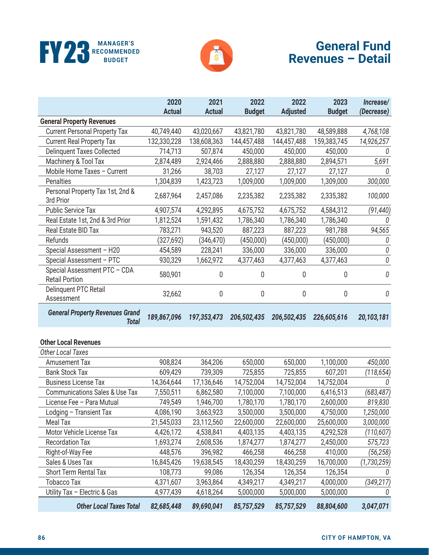



|                                                        | 2020<br><b>Actual</b> | 2021<br><b>Actual</b> | 2022<br><b>Budget</b> | 2022<br><b>Adjusted</b> | 2023<br><b>Budget</b> | Increase/<br>(Decrease) |
|--------------------------------------------------------|-----------------------|-----------------------|-----------------------|-------------------------|-----------------------|-------------------------|
| <b>General Property Revenues</b>                       |                       |                       |                       |                         |                       |                         |
| <b>Current Personal Property Tax</b>                   | 40,749,440            | 43,020,667            | 43,821,780            | 43,821,780              | 48,589,888            | 4,768,108               |
| <b>Current Real Property Tax</b>                       | 132,330,228           | 138,608,363           | 144,457,488           | 144,457,488             | 159,383,745           | 14,926,257              |
| <b>Delinquent Taxes Collected</b>                      | 714,713               | 507,874               | 450,000               | 450,000                 | 450,000               | 0                       |
| Machinery & Tool Tax                                   | 2,874,489             | 2,924,466             | 2,888,880             | 2,888,880               | 2,894,571             | 5,691                   |
| Mobile Home Taxes - Current                            | 31,266                | 38,703                | 27,127                | 27,127                  | 27,127                | 0                       |
| Penalties                                              | 1,304,839             | 1,423,723             | 1,009,000             | 1,009,000               | 1,309,000             | 300,000                 |
| Personal Property Tax 1st, 2nd &<br>3rd Prior          | 2,687,964             | 2,457,086             | 2,235,382             | 2,235,382               | 2,335,382             | 100,000                 |
| <b>Public Service Tax</b>                              | 4,907,574             | 4,292,895             | 4,675,752             | 4,675,752               | 4,584,312             | (91, 440)               |
| Real Estate 1st, 2nd & 3rd Prior                       | 1,812,524             | 1,591,432             | 1,786,340             | 1,786,340               | 1,786,340             | 0                       |
| Real Estate BID Tax                                    | 783,271               | 943,520               | 887,223               | 887,223                 | 981,788               | 94,565                  |
| Refunds                                                | (327, 692)            | (346, 470)            | (450,000)             | (450,000)               | (450,000)             | 0                       |
| Special Assessment - H20                               | 454,589               | 228,241               | 336,000               | 336,000                 | 336,000               | 0                       |
| Special Assessment - PTC                               | 930,329               | 1,662,972             | 4,377,463             | 4,377,463               | 4,377,463             | 0                       |
| Special Assessment PTC - CDA<br><b>Retail Portion</b>  | 580,901               | 0                     | $\mathbf 0$           | 0                       | 0                     | 0                       |
| Delinquent PTC Retail<br>Assessment                    | 32,662                | 0                     | $\pmb{0}$             | 0                       | 0                     | 0                       |
|                                                        |                       |                       |                       |                         |                       |                         |
| <b>General Property Revenues Grand</b><br><b>Total</b> | 189,867,096           | 197,353,473           | 206,502,435           | 206,502,435             | 226,605,616           | 20,103,181              |
| <b>Other Local Revenues</b>                            |                       |                       |                       |                         |                       |                         |
| <b>Other Local Taxes</b>                               |                       |                       |                       |                         |                       |                         |
| <b>Amusement Tax</b>                                   | 908,824               | 364,206               | 650,000               | 650,000                 | 1,100,000             | 450,000                 |
| <b>Bank Stock Tax</b>                                  | 609,429               | 739,309               | 725,855               | 725,855                 | 607,201               | (118, 654)              |
| <b>Business License Tax</b>                            | 14,364,644            | 17,136,646            | 14,752,004            | 14,752,004              | 14,752,004            |                         |
| <b>Communications Sales &amp; Use Tax</b>              | 7,550,511             | 6,862,580             | 7,100,000             | 7,100,000               | 6,416,513             | (683, 487)              |
| License Fee - Para Mutual                              | 749,549               | 1,946,700             | 1,780,170             | 1,780,170               | 2,600,000             | 819,830                 |
|                                                        | 4,086,190             | 3,663,923             | 3,500,000             | 3,500,000               | 4,750,000             | 1,250,000               |
| Lodging - Transient Tax<br>Meal Tax                    | 21,545,033            | 23,112,560            | 22,600,000            | 22,600,000              | 25,600,000            | 3,000,000               |
| Motor Vehicle License Tax                              | 4,426,172             | 4,538,841             | 4,403,135             | 4,403,135               | 4,292,528             | (110,607)               |
| <b>Recordation Tax</b>                                 | 1,693,274             | 2,608,536             | 1,874,277             | 1,874,277               | 2,450,000             | 575,723                 |
| Right-of-Way Fee                                       | 448,576               | 396,982               | 466,258               | 466,258                 | 410,000               | (56, 258)               |
| Sales & Uses Tax                                       | 16,845,426            | 19,638,545            | 18,430,259            | 18,430,259              | 16,700,000            | (1,730,259)             |
| Short Term Rental Tax                                  | 108,773               | 99,086                | 126,354               | 126,354                 | 126,354               |                         |
| <b>Tobacco Tax</b>                                     | 4,371,607             | 3,963,864             | 4,349,217             | 4,349,217               | 4,000,000             | (349, 217)              |

*Other Local Taxes Total 82,685,448 89,690,041 85,757,529 85,757,529 88,804,600 3,047,071*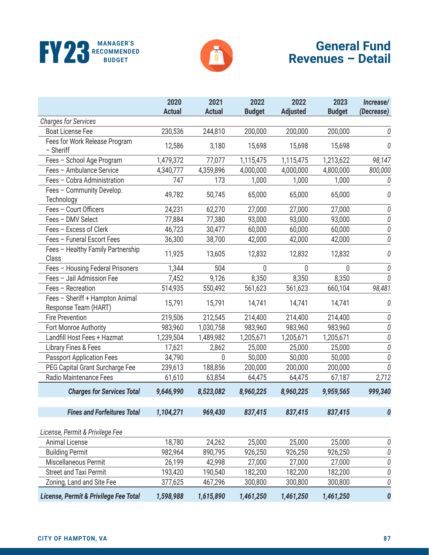



|                                                         | 2020<br><b>Actual</b> | 2021<br><b>Actual</b> | 2022<br><b>Budget</b> | 2022<br><b>Adjusted</b> | 2023<br><b>Budget</b> | Increase/<br>(Decrease) |
|---------------------------------------------------------|-----------------------|-----------------------|-----------------------|-------------------------|-----------------------|-------------------------|
| <b>Charges for Services</b>                             |                       |                       |                       |                         |                       |                         |
| <b>Boat License Fee</b>                                 | 230,536               | 244,810               | 200,000               | 200,000                 | 200,000               | 0                       |
| Fees for Work Release Program<br>- Sheriff              | 12,586                | 3,180                 | 15,698                | 15,698                  | 15,698                | 0                       |
| Fees - School Age Program                               | 1,479,372             | 77,077                | 1,115,475             | 1,115,475               | 1,213,622             | 98,147                  |
| Fees - Ambulance Service                                | 4,340,777             | 4,359,896             | 4,000,000             | 4,000,000               | 4,800,000             | 800,000                 |
| Fees - Cobra Administration                             | 747                   | 173                   | 1,000                 | 1,000                   | 1,000                 | 0                       |
| Fees - Community Develop.<br>Technology                 | 49,782                | 50,745                | 65,000                | 65,000                  | 65,000                | 0                       |
| Fees - Court Officers                                   | 24,231                | 62,270                | 27,000                | 27,000                  | 27,000                | 0                       |
| Fees - DMV Select                                       | 77,884                | 77,380                | 93,000                | 93,000                  | 93,000                | 0                       |
| Fees - Excess of Clerk                                  | 46,723                | 30,477                | 60,000                | 60,000                  | 60,000                | $\it 0$                 |
| Fees - Funeral Escort Fees                              | 36,300                | 38,700                | 42,000                | 42,000                  | 42,000                | 0                       |
| Fees - Healthy Family Partnership<br>Class              | 11,925                | 13,605                | 12,832                | 12,832                  | 12,832                | 0                       |
| Fees - Housing Federal Prisoners                        | 1,344                 | 504                   | 0                     | 0                       | 0                     | 0                       |
| Fees - Jail Admission Fee                               | 7,452                 | 9,126                 | 8,350                 | 8,350                   | 8,350                 | $\it{0}$                |
| Fees - Recreation                                       | 514,935               | 550,492               | 561,623               | 561,623                 | 660,104               | 98,481                  |
| Fees - Sheriff + Hampton Animal<br>Response Team (HART) | 15,791                | 15,791                | 14,741                | 14,741                  | 14,741                | 0                       |
| <b>Fire Prevention</b>                                  | 219,506               | 212,545               | 214,400               | 214,400                 | 214,400               | 0                       |
| Fort Monroe Authority                                   | 983,960               | 1,030,758             | 983,960               | 983,960                 | 983,960               | 0                       |
| Landfill Host Fees + Hazmat                             | 1,239,504             | 1,489,982             | 1,205,671             | 1,205,671               | 1,205,671             | 0                       |
| Library Fines & Fees                                    | 17,621                | 2,862                 | 25,000                | 25,000                  | 25,000                | 0                       |
| <b>Passport Application Fees</b>                        | 34,790                | 0                     | 50,000                | 50,000                  | 50,000                | 0                       |
| PEG Capital Grant Surcharge Fee                         | 239,613               | 188,856               | 200,000               | 200,000                 | 200,000               | 0                       |
| Radio Maintenance Fees                                  | 61,610                | 63,854                | 64,475                | 64,475                  | 67,187                | 2,712                   |
| <b>Charges for Services Total</b>                       | 9,646,990             | 8,523,082             | 8,960,225             | 8,960,225               | 9,959,565             | 999,340                 |
| <b>Fines and Forfeitures Total</b>                      | 1,104,271             | 969,430               | 837,415               | 837,415                 | 837,415               | 0                       |
| License, Permit & Privilege Fee                         |                       |                       |                       |                         |                       |                         |
| Animal License                                          | 18,780                | 24,262                | 25,000                | 25,000                  | 25,000                | 0                       |
| <b>Building Permit</b>                                  | 982,964               | 890,795               | 926,250               | 926,250                 | 926,250               | 0                       |
| Miscellaneous Permit                                    | 26,199                | 42,998                | 27,000                | 27,000                  | 27,000                | 0                       |
| <b>Street and Taxi Permit</b>                           | 193,420               | 190,540               | 182,200               | 182,200                 | 182,200               | 0                       |
| Zoning, Land and Site Fee                               | 377,625               | 467,296               | 300,800               | 300,800                 | 300,800               | 0                       |
| License, Permit & Privilege Fee Total                   | 1,598,988             | 1,615,890             | 1,461,250             | 1,461,250               | 1,461,250             | 0                       |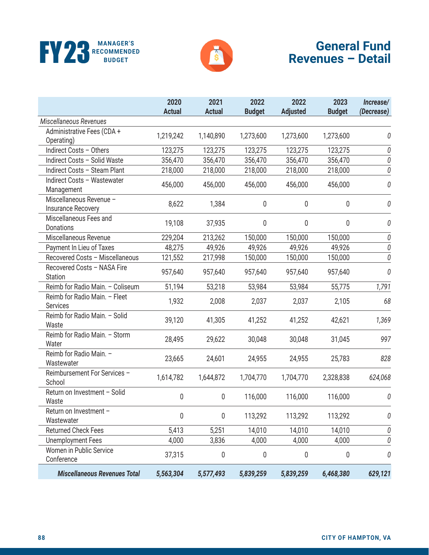



|                                                  | 2020<br><b>Actual</b> | 2021<br><b>Actual</b> | 2022<br><b>Budget</b> | 2022<br><b>Adjusted</b> | 2023<br><b>Budget</b> | Increase/<br>(Decrease) |
|--------------------------------------------------|-----------------------|-----------------------|-----------------------|-------------------------|-----------------------|-------------------------|
| Miscellaneous Revenues                           |                       |                       |                       |                         |                       |                         |
| Administrative Fees (CDA +<br>Operating)         | 1,219,242             | 1,140,890             | 1,273,600             | 1,273,600               | 1,273,600             | 0                       |
| Indirect Costs - Others                          | 123,275               | 123,275               | 123,275               | 123,275                 | 123,275               | 0                       |
| Indirect Costs - Solid Waste                     | 356,470               | 356,470               | 356,470               | 356,470                 | 356,470               | $\it{0}$                |
| Indirect Costs - Steam Plant                     | 218,000               | 218,000               | 218,000               | 218,000                 | 218,000               | 0                       |
| Indirect Costs - Wastewater<br>Management        | 456,000               | 456,000               | 456,000               | 456,000                 | 456,000               | 0                       |
| Miscellaneous Revenue -<br>Insurance Recovery    | 8,622                 | 1,384                 | 0                     | 0                       | 0                     | 0                       |
| Miscellaneous Fees and<br>Donations              | 19,108                | 37,935                | 0                     | 0                       | 0                     | 0                       |
| Miscellaneous Revenue                            | 229,204               | 213,262               | 150,000               | 150,000                 | 150,000               | $\it{0}$                |
| Payment In Lieu of Taxes                         | 48,275                | 49,926                | 49,926                | 49,926                  | 49,926                | $\it{0}$                |
| Recovered Costs - Miscellaneous                  | 121,552               | 217,998               | 150,000               | 150,000                 | 150,000               | $\it{0}$                |
| Recovered Costs - NASA Fire<br><b>Station</b>    | 957,640               | 957,640               | 957,640               | 957,640                 | 957,640               | 0                       |
| Reimb for Radio Main. - Coliseum                 | 51,194                | 53,218                | 53,984                | 53,984                  | 55,775                | 1,791                   |
| Reimb for Radio Main. - Fleet<br><b>Services</b> | 1,932                 | 2,008                 | 2,037                 | 2,037                   | 2,105                 | 68                      |
| Reimb for Radio Main. - Solid<br>Waste           | 39,120                | 41,305                | 41,252                | 41,252                  | 42,621                | 1,369                   |
| Reimb for Radio Main. - Storm<br>Water           | 28,495                | 29,622                | 30,048                | 30,048                  | 31,045                | 997                     |
| Reimb for Radio Main. -<br>Wastewater            | 23,665                | 24,601                | 24,955                | 24,955                  | 25,783                | 828                     |
| Reimbursement For Services -<br>School           | 1,614,782             | 1,644,872             | 1,704,770             | 1,704,770               | 2,328,838             | 624,068                 |
| Return on Investment - Solid<br>Waste            | 0                     | 0                     | 116,000               | 116,000                 | 116,000               | 0                       |
| Return on Investment -<br>Wastewater             | 0                     | 0                     | 113,292               | 113,292                 | 113,292               | 0                       |
| <b>Returned Check Fees</b>                       | 5,413                 | 5,251                 | 14,010                | 14,010                  | 14,010                | 0                       |
| <b>Unemployment Fees</b>                         | 4,000                 | 3,836                 | 4,000                 | 4,000                   | 4,000                 | 0                       |
| Women in Public Service<br>Conference            | 37,315                | 0                     | 0                     | 0                       | 0                     | 0                       |
| <b>Miscellaneous Revenues Total</b>              | 5,563,304             | 5,577,493             | 5,839,259             | 5,839,259               | 6,468,380             | 629,121                 |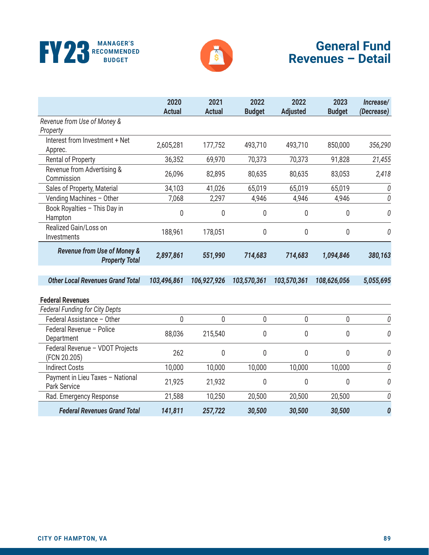



|                                                                 | 2020<br><b>Actual</b> | 2021<br><b>Actual</b> | 2022<br><b>Budget</b> | 2022<br><b>Adjusted</b> | 2023<br><b>Budget</b> | Increase/<br>(Decrease) |
|-----------------------------------------------------------------|-----------------------|-----------------------|-----------------------|-------------------------|-----------------------|-------------------------|
| Revenue from Use of Money &<br>Property                         |                       |                       |                       |                         |                       |                         |
| Interest from Investment + Net<br>Apprec.                       | 2,605,281             | 177,752               | 493,710               | 493,710                 | 850,000               | 356,290                 |
| Rental of Property                                              | 36,352                | 69,970                | 70,373                | 70,373                  | 91,828                | 21,455                  |
| Revenue from Advertising &<br>Commission                        | 26,096                | 82,895                | 80,635                | 80,635                  | 83,053                | 2,418                   |
| Sales of Property, Material                                     | 34,103                | 41,026                | 65,019                | 65,019                  | 65,019                | 0                       |
| Vending Machines - Other                                        | 7,068                 | 2,297                 | 4,946                 | 4,946                   | 4,946                 | 0                       |
| Book Royalties - This Day in<br>Hampton                         | 0                     | 0                     | $\mathbf 0$           | $\overline{0}$          | $\mathbf 0$           | 0                       |
| Realized Gain/Loss on<br>Investments                            | 188,961               | 178,051               | $\mathbf 0$           | 0                       | 0                     | 0                       |
| <b>Revenue from Use of Money &amp;</b><br><b>Property Total</b> | 2,897,861             | 551,990               | 714,683               | 714,683                 | 1,094,846             | 380,163                 |
| <b>Other Local Revenues Grand Total</b>                         | 103,496,861           | 106,927,926           | 103,570,361           | 103,570,361             | 108,626,056           | 5,055,695               |
| <b>Federal Revenues</b>                                         |                       |                       |                       |                         |                       |                         |
| <b>Federal Funding for City Depts</b>                           |                       |                       |                       |                         |                       |                         |
| Federal Assistance - Other                                      | $\mathbf 0$           | 0                     | $\pmb{0}$             | $\pmb{0}$               | $\pmb{0}$             | 0                       |
| Federal Revenue - Police<br>Department                          | 88,036                | 215,540               | 0                     | 0                       | $\pmb{0}$             | 0                       |
| Federal Revenue - VDOT Projects<br>(FCN 20.205)                 | 262                   | 0                     | $\mathbf 0$           | $\overline{0}$          | $\mathbf 0$           | 0                       |
| <b>Indirect Costs</b>                                           | 10,000                | 10,000                | 10,000                | 10,000                  | 10,000                | 0                       |
| Payment in Lieu Taxes - National<br>Park Service                | 21,925                | 21,932                | $\mathbf 0$           | $\mathbf 0$             | 0                     | 0                       |
| Rad. Emergency Response                                         | 21,588                | 10,250                | 20,500                | 20,500                  | 20,500                | 0                       |
| <b>Federal Revenues Grand Total</b>                             | 141,811               | 257,722               | 30,500                | 30,500                  | 30,500                | 0                       |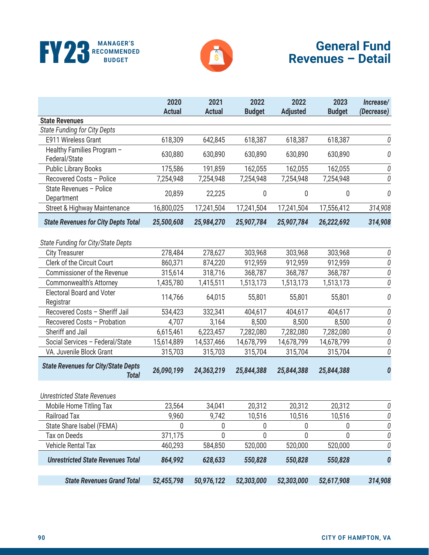



|                                                            | 2020<br><b>Actual</b> | 2021<br><b>Actual</b> | 2022<br><b>Budget</b> | 2022<br><b>Adjusted</b> | 2023<br><b>Budget</b> | Increase/<br>(Decrease) |
|------------------------------------------------------------|-----------------------|-----------------------|-----------------------|-------------------------|-----------------------|-------------------------|
| <b>State Revenues</b>                                      |                       |                       |                       |                         |                       |                         |
| State Funding for City Depts                               |                       |                       |                       |                         |                       |                         |
| E911 Wireless Grant                                        | 618,309               | 642,845               | 618,387               | 618,387                 | 618,387               | 0                       |
| Healthy Families Program -<br>Federal/State                | 630,880               | 630,890               | 630,890               | 630,890                 | 630,890               | 0                       |
| <b>Public Library Books</b>                                | 175,586               | 191,859               | 162,055               | 162,055                 | 162,055               | 0                       |
| Recovered Costs - Police                                   | 7,254,948             | 7,254,948             | 7,254,948             | 7,254,948               | 7,254,948             | 0                       |
| State Revenues - Police<br>Department                      | 20,859                | 22,225                | 0                     | 0                       | 0                     | 0                       |
| <b>Street &amp; Highway Maintenance</b>                    | 16,800,025            | 17,241,504            | 17,241,504            | 17,241,504              | 17,556,412            | 314,908                 |
| <b>State Revenues for City Depts Total</b>                 | 25,500,608            | 25,984,270            | 25,907,784            | 25,907,784              | 26,222,692            | 314,908                 |
| State Funding for City/State Depts                         |                       |                       |                       |                         |                       |                         |
| <b>City Treasurer</b>                                      | 278,484               | 278,627               | 303,968               | 303,968                 | 303,968               | 0                       |
| Clerk of the Circuit Court                                 | 860,371               | 874,220               | 912,959               | 912,959                 | 912,959               | $\it{0}$                |
| Commissioner of the Revenue                                | 315,614               | 318,716               | 368,787               | 368,787                 | 368,787               | $\it{0}$                |
| <b>Commonwealth's Attorney</b>                             | 1,435,780             | 1,415,511             | 1,513,173             | 1,513,173               | 1,513,173             | $\it{0}$                |
| <b>Electoral Board and Voter</b><br>Registrar              | 114,766               | 64,015                | 55,801                | 55,801                  | 55,801                | 0                       |
| Recovered Costs - Sheriff Jail                             | 534,423               | 332,341               | 404,617               | 404,617                 | 404,617               | 0                       |
| Recovered Costs - Probation                                | 4,707                 | 3,164                 | 8,500                 | 8,500                   | 8,500                 | $\it{0}$                |
| Sheriff and Jail                                           | 6,615,461             | 6,223,457             | 7,282,080             | 7,282,080               | 7,282,080             | $\it{0}$                |
| Social Services - Federal/State                            | 15,614,889            | 14,537,466            | 14,678,799            | 14,678,799              | 14,678,799            | $\it{0}$                |
| VA. Juvenile Block Grant                                   | 315,703               | 315,703               | 315,704               | 315,704                 | 315,704               | 0                       |
| <b>State Revenues for City/State Depts</b><br><b>Total</b> | 26,090,199            | 24,363,219            | 25,844,388            | 25,844,388              | 25,844,388            | 0                       |
| <b>Unrestricted State Revenues</b>                         |                       |                       |                       |                         |                       |                         |
| Mobile Home Titling Tax                                    | 23,564                | 34,041                | 20,312                | 20,312                  | 20,312                | 0                       |
| Railroad Tax                                               | 9,960                 | 9,742                 | 10,516                | 10,516                  | 10,516                | 0                       |
| State Share Isabel (FEMA)                                  | 0                     | 0                     | 0                     | 0                       | 0                     | 0                       |
| Tax on Deeds                                               | 371,175               | 0                     | 0                     | 0                       | 0                     | 0                       |
| Vehicle Rental Tax                                         | 460,293               | 584,850               | 520,000               | 520,000                 | 520,000               | 0                       |
| <b>Unrestricted State Revenues Total</b>                   | 864,992               | 628,633               | 550,828               | 550,828                 | 550,828               | 0                       |
| <b>State Revenues Grand Total</b>                          | 52,455,798            | 50,976,122            | 52,303,000            | 52,303,000              | 52,617,908            | 314,908                 |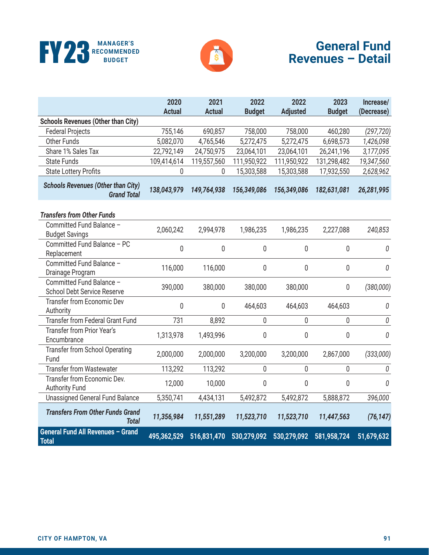



|                                                                 | 2020          | 2021          | 2022          | 2022            | 2023          | Increase/  |
|-----------------------------------------------------------------|---------------|---------------|---------------|-----------------|---------------|------------|
|                                                                 | <b>Actual</b> | <b>Actual</b> | <b>Budget</b> | <b>Adjusted</b> | <b>Budget</b> | (Decrease) |
| <b>Schools Revenues (Other than City)</b>                       |               |               |               |                 |               |            |
| <b>Federal Projects</b>                                         | 755,146       | 690,857       | 758,000       | 758,000         | 460,280       | (297, 720) |
| Other Funds                                                     | 5,082,070     | 4,765,546     | 5,272,475     | 5,272,475       | 6,698,573     | 1,426,098  |
| Share 1% Sales Tax                                              | 22,792,149    | 24,750,975    | 23,064,101    | 23,064,101      | 26,241,196    | 3,177,095  |
| <b>State Funds</b>                                              | 109,414,614   | 119,557,560   | 111,950,922   | 111,950,922     | 131,298,482   | 19,347,560 |
| <b>State Lottery Profits</b>                                    | 0             | 0             | 15,303,588    | 15,303,588      | 17,932,550    | 2,628,962  |
| <b>Schools Revenues (Other than City)</b><br><b>Grand Total</b> | 138,043,979   | 149,764,938   | 156,349,086   | 156,349,086     | 182,631,081   | 26,281,995 |
| <b>Transfers from Other Funds</b>                               |               |               |               |                 |               |            |
| Committed Fund Balance -<br><b>Budget Savings</b>               | 2,060,242     | 2,994,978     | 1,986,235     | 1,986,235       | 2,227,088     | 240,853    |
| Committed Fund Balance - PC<br>Replacement                      | 0             | 0             | 0             | 0               | $\mathbf 0$   | 0          |
| Committed Fund Balance -<br>Drainage Program                    | 116,000       | 116,000       | 0             | 0               | 0             | 0          |
| Committed Fund Balance -<br><b>School Debt Service Reserve</b>  | 390,000       | 380,000       | 380,000       | 380,000         | $\mathbf 0$   | (380,000)  |
| Transfer from Economic Dev<br>Authority                         | 0             | $\mathbf 0$   | 464,603       | 464,603         | 464,603       | 0          |
| <b>Transfer from Federal Grant Fund</b>                         | 731           | 8,892         | 0             | $\mathbf 0$     | 0             | $\it{0}$   |
| Transfer from Prior Year's<br>Encumbrance                       | 1,313,978     | 1,493,996     | 0             | 0               | 0             | 0          |
| Transfer from School Operating<br>Fund                          | 2,000,000     | 2,000,000     | 3,200,000     | 3,200,000       | 2,867,000     | (333,000)  |
| <b>Transfer from Wastewater</b>                                 | 113,292       | 113,292       | 0             | 0               | 0             | 0          |
| Transfer from Economic Dev.<br><b>Authority Fund</b>            | 12,000        | 10,000        | 0             | $\mathbf 0$     | 0             | 0          |
| <b>Unassigned General Fund Balance</b>                          | 5,350,741     | 4,434,131     | 5,492,872     | 5,492,872       | 5,888,872     | 396,000    |
| <b>Transfers From Other Funds Grand</b><br><b>Total</b>         | 11,356,984    | 11,551,289    | 11,523,710    | 11,523,710      | 11,447,563    | (76, 147)  |
| General Fund All Revenues - Grand<br><b>Total</b>               | 495,362,529   | 516,831,470   | 530,279,092   | 530,279,092     | 581,958,724   | 51,679,632 |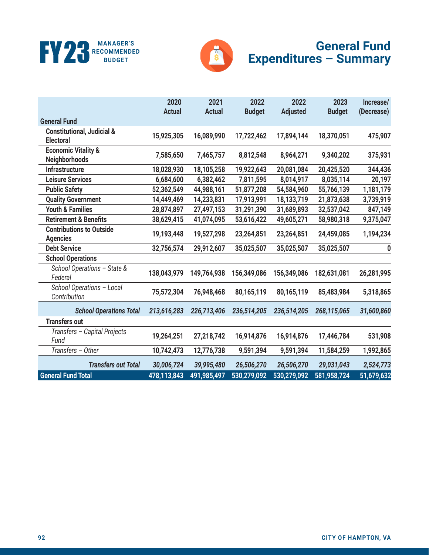



# **General Fund Expenditures – Summary**

|                                                           | 2020          | 2021          | 2022          | 2022            | 2023          | Increase/  |
|-----------------------------------------------------------|---------------|---------------|---------------|-----------------|---------------|------------|
|                                                           | <b>Actual</b> | <b>Actual</b> | <b>Budget</b> | <b>Adjusted</b> | <b>Budget</b> | (Decrease) |
| <b>General Fund</b>                                       |               |               |               |                 |               |            |
| <b>Constitutional, Judicial &amp;</b><br><b>Electoral</b> | 15,925,305    | 16,089,990    | 17,722,462    | 17,894,144      | 18,370,051    | 475,907    |
| <b>Economic Vitality &amp;</b><br><b>Neighborhoods</b>    | 7,585,650     | 7,465,757     | 8,812,548     | 8,964,271       | 9,340,202     | 375,931    |
| Infrastructure                                            | 18,028,930    | 18,105,258    | 19,922,643    | 20,081,084      | 20,425,520    | 344,436    |
| <b>Leisure Services</b>                                   | 6,684,600     | 6,382,462     | 7,811,595     | 8,014,917       | 8,035,114     | 20,197     |
| <b>Public Safety</b>                                      | 52,362,549    | 44,988,161    | 51,877,208    | 54,584,960      | 55,766,139    | 1,181,179  |
| <b>Quality Government</b>                                 | 14,449,469    | 14,233,831    | 17,913,991    | 18,133,719      | 21,873,638    | 3,739,919  |
| <b>Youth &amp; Families</b>                               | 28,874,897    | 27,497,153    | 31,291,390    | 31,689,893      | 32,537,042    | 847,149    |
| <b>Retirement &amp; Benefits</b>                          | 38,629,415    | 41,074,095    | 53,616,422    | 49,605,271      | 58,980,318    | 9,375,047  |
| <b>Contributions to Outside</b><br><b>Agencies</b>        | 19,193,448    | 19,527,298    | 23,264,851    | 23,264,851      | 24,459,085    | 1,194,234  |
| <b>Debt Service</b>                                       | 32,756,574    | 29,912,607    | 35,025,507    | 35,025,507      | 35,025,507    | 0          |
| <b>School Operations</b>                                  |               |               |               |                 |               |            |
| School Operations - State &<br>Federal                    | 138,043,979   | 149,764,938   | 156,349,086   | 156,349,086     | 182,631,081   | 26,281,995 |
| School Operations - Local<br>Contribution                 | 75,572,304    | 76,948,468    | 80,165,119    | 80,165,119      | 85,483,984    | 5,318,865  |
| <b>School Operations Total</b>                            | 213,616,283   | 226,713,406   | 236,514,205   | 236,514,205     | 268,115,065   | 31,600,860 |
| <b>Transfers out</b>                                      |               |               |               |                 |               |            |
| Transfers - Capital Projects<br>Fund                      | 19,264,251    | 27,218,742    | 16,914,876    | 16,914,876      | 17,446,784    | 531,908    |
| Transfers - Other                                         | 10,742,473    | 12,776,738    | 9,591,394     | 9,591,394       | 11,584,259    | 1,992,865  |
| <b>Transfers out Total</b>                                | 30,006,724    | 39,995,480    | 26,506,270    | 26,506,270      | 29,031,043    | 2,524,773  |
| <b>General Fund Total</b>                                 | 478,113,843   | 491,985,497   | 530,279,092   | 530,279,092     | 581,958,724   | 51,679,632 |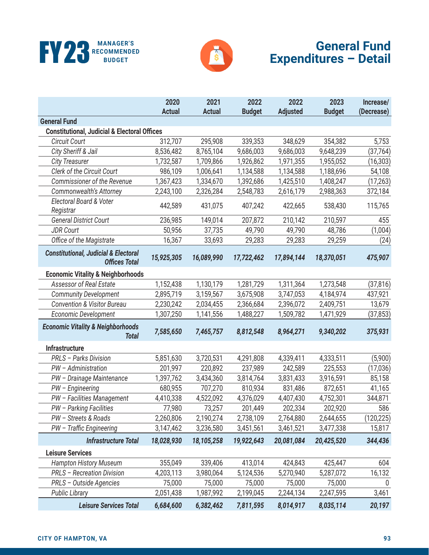



#### **General Fund Expenditures – Detail**

|                                                                         | 2020          | 2021          | 2022          | 2022            | 2023          | Increase/  |
|-------------------------------------------------------------------------|---------------|---------------|---------------|-----------------|---------------|------------|
| <b>General Fund</b>                                                     | <b>Actual</b> | <b>Actual</b> | <b>Budget</b> | <b>Adjusted</b> | <b>Budget</b> | (Decrease) |
| <b>Constitutional, Judicial &amp; Electoral Offices</b>                 |               |               |               |                 |               |            |
| <b>Circuit Court</b>                                                    | 312,707       | 295,908       | 339,353       | 348,629         | 354,382       | 5,753      |
| City Sheriff & Jail                                                     | 8,536,482     | 8,765,104     | 9,686,003     | 9,686,003       | 9,648,239     | (37, 764)  |
| <b>City Treasurer</b>                                                   | 1,732,587     | 1,709,866     | 1,926,862     | 1,971,355       | 1,955,052     | (16, 303)  |
| Clerk of the Circuit Court                                              | 986,109       | 1,006,641     | 1,134,588     | 1,134,588       | 1,188,696     | 54,108     |
| Commissioner of the Revenue                                             | 1,367,423     | 1,334,670     | 1,392,686     | 1,425,510       | 1,408,247     | (17, 263)  |
| Commonwealth's Attorney                                                 | 2,243,100     | 2,326,284     | 2,548,783     | 2,616,179       | 2,988,363     | 372,184    |
| Electoral Board & Voter<br>Registrar                                    | 442,589       | 431,075       | 407,242       | 422,665         | 538,430       | 115,765    |
| <b>General District Court</b>                                           | 236,985       | 149,014       | 207,872       | 210,142         | 210,597       | 455        |
| <b>JDR Court</b>                                                        | 50,956        | 37,735        | 49,790        | 49,790          | 48,786        | (1,004)    |
| Office of the Magistrate                                                | 16,367        | 33,693        | 29,283        | 29,283          | 29,259        | (24)       |
| <b>Constitutional, Judicial &amp; Electoral</b><br><b>Offices Total</b> | 15,925,305    | 16,089,990    | 17,722,462    | 17,894,144      | 18,370,051    | 475,907    |
| <b>Economic Vitality &amp; Neighborhoods</b>                            |               |               |               |                 |               |            |
| <b>Assessor of Real Estate</b>                                          | 1,152,438     | 1,130,179     | 1,281,729     | 1,311,364       | 1,273,548     | (37, 816)  |
| <b>Community Development</b>                                            | 2,895,719     | 3,159,567     | 3,675,908     | 3,747,053       | 4,184,974     | 437,921    |
| <b>Convention &amp; Visitor Bureau</b>                                  | 2,230,242     | 2,034,455     | 2,366,684     | 2,396,072       | 2,409,751     | 13,679     |
| Economic Development                                                    | 1,307,250     | 1,141,556     | 1,488,227     | 1,509,782       | 1,471,929     | (37, 853)  |
| <b>Economic Vitality &amp; Neighborhoods</b><br><b>Total</b>            | 7,585,650     | 7,465,757     | 8,812,548     | 8,964,271       | 9,340,202     | 375,931    |
| <b>Infrastructure</b>                                                   |               |               |               |                 |               |            |
| PRLS - Parks Division                                                   | 5,851,630     | 3,720,531     | 4,291,808     | 4,339,411       | 4,333,511     | (5,900)    |
| PW - Administration                                                     | 201,997       | 220,892       | 237,989       | 242,589         | 225,553       | (17,036)   |
| PW - Drainage Maintenance                                               | 1,397,762     | 3,434,360     | 3,814,764     | 3,831,433       | 3,916,591     | 85,158     |
| PW - Engineering                                                        | 680,955       | 707,270       | 810,934       | 831,486         | 872,651       | 41,165     |
| PW - Facilities Management                                              | 4,410,338     | 4,522,092     | 4,376,029     | 4,407,430       | 4,752,301     | 344,871    |
| PW - Parking Facilities                                                 | 77,980        | 73,257        | 201,449       | 202,334         | 202,920       | 586        |
| PW - Streets & Roads                                                    | 2,260,806     | 2,190,274     | 2,738,109     | 2,764,880       | 2,644,655     | (120,225)  |
| PW - Traffic Engineering                                                | 3,147,462     | 3,236,580     | 3,451,561     | 3,461,521       | 3,477,338     | 15,817     |
| <b>Infrastructure Total</b>                                             | 18,028,930    | 18,105,258    | 19,922,643    | 20,081,084      | 20,425,520    | 344,436    |
| <b>Leisure Services</b>                                                 |               |               |               |                 |               |            |
| <b>Hampton History Museum</b>                                           | 355,049       | 339,406       | 413,014       | 424,843         | 425,447       | 604        |
| <b>PRLS - Recreation Division</b>                                       | 4,203,113     | 3,980,064     | 5,124,536     | 5,270,940       | 5,287,072     | 16,132     |
| PRLS - Outside Agencies                                                 | 75,000        | 75,000        | 75,000        | 75,000          | 75,000        | 0          |
| <b>Public Library</b>                                                   | 2,051,438     | 1,987,992     | 2,199,045     | 2,244,134       | 2,247,595     | 3,461      |
| <b>Leisure Services Total</b>                                           | 6,684,600     | 6,382,462     | 7,811,595     | 8,014,917       | 8,035,114     | 20,197     |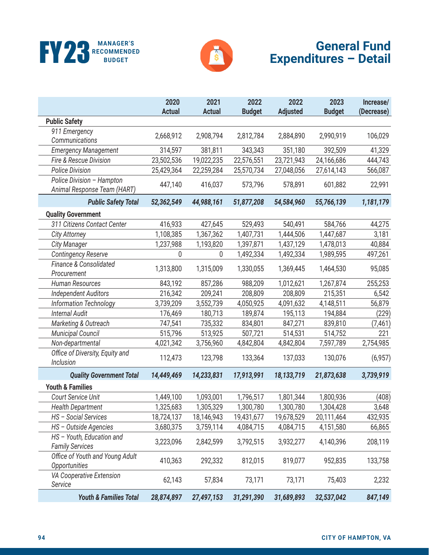



# **General Fund Expenditures – Detail**

|                                                          | 2020<br><b>Actual</b> | 2021<br><b>Actual</b> | 2022<br><b>Budget</b> | 2022<br><b>Adjusted</b> | 2023<br><b>Budget</b> | Increase/<br>(Decrease) |
|----------------------------------------------------------|-----------------------|-----------------------|-----------------------|-------------------------|-----------------------|-------------------------|
| <b>Public Safety</b>                                     |                       |                       |                       |                         |                       |                         |
| 911 Emergency<br>Communications                          | 2,668,912             | 2,908,794             | 2,812,784             | 2,884,890               | 2,990,919             | 106,029                 |
| <b>Emergency Management</b>                              | 314,597               | 381,811               | 343,343               | 351,180                 | 392,509               | 41,329                  |
| Fire & Rescue Division                                   | 23,502,536            | 19,022,235            | 22,576,551            | 23,721,943              | 24,166,686            | 444,743                 |
| <b>Police Division</b>                                   | 25,429,364            | 22,259,284            | 25,570,734            | 27,048,056              | 27,614,143            | 566,087                 |
| Police Division - Hampton<br>Animal Response Team (HART) | 447,140               | 416,037               | 573,796               | 578,891                 | 601,882               | 22,991                  |
| <b>Public Safety Total</b>                               | 52,362,549            | 44,988,161            | 51,877,208            | 54,584,960              | 55,766,139            | 1,181,179               |
| <b>Quality Government</b>                                |                       |                       |                       |                         |                       |                         |
| 311 Citizens Contact Center                              | 416,933               | 427,645               | 529,493               | 540,491                 | 584,766               | 44,275                  |
| <b>City Attorney</b>                                     | 1,108,385             | 1,367,362             | 1,407,731             | 1,444,506               | 1,447,687             | 3,181                   |
| <b>City Manager</b>                                      | 1,237,988             | 1,193,820             | 1,397,871             | 1,437,129               | 1,478,013             | 40,884                  |
| <b>Contingency Reserve</b>                               | 0                     | 0                     | 1,492,334             | 1,492,334               | 1,989,595             | 497,261                 |
| Finance & Consolidated<br>Procurement                    | 1,313,800             | 1,315,009             | 1,330,055             | 1,369,445               | 1,464,530             | 95,085                  |
| Human Resources                                          | 843,192               | 857,286               | 988,209               | 1,012,621               | 1,267,874             | 255,253                 |
| <b>Independent Auditors</b>                              | 216,342               | 209,241               | 208,809               | 208,809                 | 215,351               | 6,542                   |
| Information Technology                                   | 3,739,209             | 3,552,739             | 4,050,925             | 4,091,632               | 4,148,511             | 56,879                  |
| <b>Internal Audit</b>                                    | 176,469               | 180,713               | 189,874               | 195,113                 | 194,884               | (229)                   |
| Marketing & Outreach                                     | 747,541               | 735,332               | 834,801               | 847,271                 | 839,810               | (7, 461)                |
| <b>Municipal Council</b>                                 | 515,796               | 513,925               | 507,721               | 514,531                 | 514,752               | 221                     |
| Non-departmental                                         | 4,021,342             | 3,756,960             | 4,842,804             | 4,842,804               | 7,597,789             | 2,754,985               |
| Office of Diversity, Equity and<br>Inclusion             | 112,473               | 123,798               | 133,364               | 137,033                 | 130,076               | (6,957)                 |
| <b>Quality Government Total</b>                          | 14,449,469            | 14,233,831            | 17,913,991            | 18,133,719              | 21,873,638            | 3,739,919               |
| <b>Youth &amp; Families</b>                              |                       |                       |                       |                         |                       |                         |
| Court Service Unit                                       | 1,449,100             | 1,093,001             | 1,796,517             | 1,801,344               | 1,800,936             | (408)                   |
| <b>Health Department</b>                                 | 1,325,683             | 1,305,329             | 1,300,780             | 1,300,780               | 1,304,428             | 3,648                   |
| HS - Social Services                                     | 18,724,137            | 18,146,943            | 19,431,677            | 19,678,529              | 20,111,464            | 432,935                 |
| HS - Outside Agencies                                    | 3,680,375             | 3,759,114             | 4,084,715             | 4,084,715               | 4,151,580             | 66,865                  |
| HS - Youth, Education and<br><b>Family Services</b>      | 3,223,096             | 2,842,599             | 3,792,515             | 3,932,277               | 4,140,396             | 208,119                 |
| Office of Youth and Young Adult<br>Opportunities         | 410,363               | 292,332               | 812,015               | 819,077                 | 952,835               | 133,758                 |
| VA Cooperative Extension<br>Service                      | 62,143                | 57,834                | 73,171                | 73,171                  | 75,403                | 2,232                   |
| <b>Youth &amp; Families Total</b>                        | 28,874,897            | 27,497,153            | 31,291,390            | 31,689,893              | 32,537,042            | 847,149                 |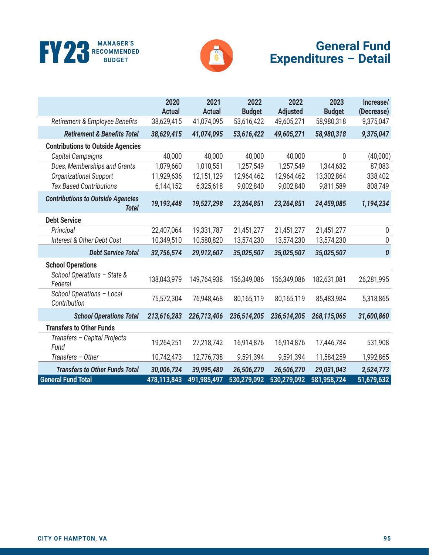



# **General Fund Expenditures – Detail**

|                                                          | 2020<br><b>Actual</b> | 2021<br><b>Actual</b> | 2022<br><b>Budget</b> | 2022<br><b>Adjusted</b> | 2023<br><b>Budget</b> | Increase/<br>(Decrease) |
|----------------------------------------------------------|-----------------------|-----------------------|-----------------------|-------------------------|-----------------------|-------------------------|
| Retirement & Employee Benefits                           | 38,629,415            | 41,074,095            | 53,616,422            | 49,605,271              | 58,980,318            | 9,375,047               |
| <b>Retirement &amp; Benefits Total</b>                   | 38,629,415            | 41,074,095            | 53,616,422            | 49,605,271              | 58,980,318            | 9,375,047               |
| <b>Contributions to Outside Agencies</b>                 |                       |                       |                       |                         |                       |                         |
| Capital Campaigns                                        | 40,000                | 40,000                | 40,000                | 40,000                  | 0                     | (40,000)                |
| Dues, Memberships and Grants                             | 1,079,660             | 1,010,551             | 1,257,549             | 1,257,549               | 1,344,632             | 87,083                  |
| Organizational Support                                   | 11,929,636            | 12,151,129            | 12,964,462            | 12,964,462              | 13,302,864            | 338,402                 |
| <b>Tax Based Contributions</b>                           | 6,144,152             | 6,325,618             | 9,002,840             | 9,002,840               | 9,811,589             | 808,749                 |
| <b>Contributions to Outside Agencies</b><br><b>Total</b> | 19,193,448            | 19,527,298            | 23,264,851            | 23,264,851              | 24,459,085            | 1,194,234               |
| <b>Debt Service</b>                                      |                       |                       |                       |                         |                       |                         |
| Principal                                                | 22,407,064            | 19,331,787            | 21,451,277            | 21,451,277              | 21,451,277            | 0                       |
| Interest & Other Debt Cost                               | 10,349,510            | 10,580,820            | 13,574,230            | 13,574,230              | 13,574,230            | $\pmb{0}$               |
| <b>Debt Service Total</b>                                | 32,756,574            | 29,912,607            | 35,025,507            | 35,025,507              | 35,025,507            | 0                       |
| <b>School Operations</b>                                 |                       |                       |                       |                         |                       |                         |
| School Operations - State &<br>Federal                   | 138,043,979           | 149,764,938           | 156,349,086           | 156,349,086             | 182,631,081           | 26,281,995              |
| School Operations - Local<br>Contribution                | 75,572,304            | 76,948,468            | 80,165,119            | 80,165,119              | 85,483,984            | 5,318,865               |
| <b>School Operations Total</b>                           | 213,616,283           | 226,713,406           | 236,514,205           | 236,514,205             | 268,115,065           | 31,600,860              |
| <b>Transfers to Other Funds</b>                          |                       |                       |                       |                         |                       |                         |
| Transfers - Capital Projects<br>Fund                     | 19,264,251            | 27,218,742            | 16,914,876            | 16,914,876              | 17,446,784            | 531,908                 |
| Transfers - Other                                        | 10,742,473            | 12,776,738            | 9,591,394             | 9,591,394               | 11,584,259            | 1,992,865               |
| <b>Transfers to Other Funds Total</b>                    | 30,006,724            | 39,995,480            | 26,506,270            | 26,506,270              | 29,031,043            | 2,524,773               |
| <b>General Fund Total</b>                                | 478,113,843           | 491,985,497           | 530,279,092           | 530,279,092             | 581,958,724           | 51,679,632              |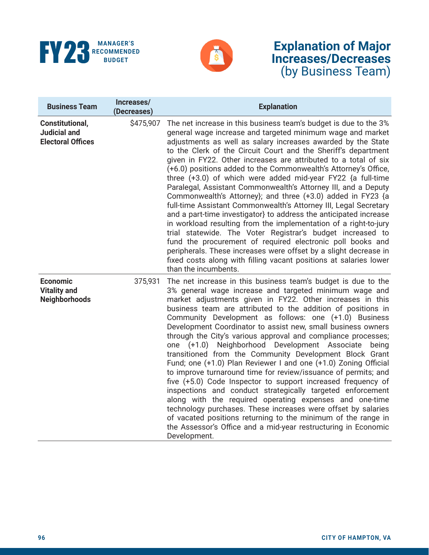



| <b>Business Team</b>                                               | Increases/<br>(Decreases) | <b>Explanation</b>                                                                                                                                                                                                                                                                                                                                                                                                                                                                                                                                                                                                                                                                                                                                                                                                                                                                                                                                                                                                                                                                                                       |
|--------------------------------------------------------------------|---------------------------|--------------------------------------------------------------------------------------------------------------------------------------------------------------------------------------------------------------------------------------------------------------------------------------------------------------------------------------------------------------------------------------------------------------------------------------------------------------------------------------------------------------------------------------------------------------------------------------------------------------------------------------------------------------------------------------------------------------------------------------------------------------------------------------------------------------------------------------------------------------------------------------------------------------------------------------------------------------------------------------------------------------------------------------------------------------------------------------------------------------------------|
| Constitutional,<br><b>Judicial and</b><br><b>Electoral Offices</b> | \$475,907                 | The net increase in this business team's budget is due to the 3%<br>general wage increase and targeted minimum wage and market<br>adjustments as well as salary increases awarded by the State<br>to the Clerk of the Circuit Court and the Sheriff's department<br>given in FY22. Other increases are attributed to a total of six<br>(+6.0) positions added to the Commonwealth's Attorney's Office,<br>three $(+3.0)$ of which were added mid-year FY22 $\{a$ full-time<br>Paralegal, Assistant Commonwealth's Attorney III, and a Deputy<br>Commonwealth's Attorney}; and three (+3.0) added in FY23 {a<br>full-time Assistant Commonwealth's Attorney III, Legal Secretary<br>and a part-time investigator} to address the anticipated increase<br>in workload resulting from the implementation of a right-to-jury<br>trial statewide. The Voter Registrar's budget increased to<br>fund the procurement of required electronic poll books and<br>peripherals. These increases were offset by a slight decrease in<br>fixed costs along with filling vacant positions at salaries lower<br>than the incumbents.    |
| <b>Economic</b><br><b>Vitality and</b><br><b>Neighborhoods</b>     | 375,931                   | The net increase in this business team's budget is due to the<br>3% general wage increase and targeted minimum wage and<br>market adjustments given in FY22. Other increases in this<br>business team are attributed to the addition of positions in<br>Community Development as follows: one (+1.0) Business<br>Development Coordinator to assist new, small business owners<br>through the City's various approval and compliance processes;<br>Neighborhood Development Associate<br>one (+1.0)<br>being<br>transitioned from the Community Development Block Grant<br>Fund; one (+1.0) Plan Reviewer I and one (+1.0) Zoning Official<br>to improve turnaround time for review/issuance of permits; and<br>five (+5.0) Code Inspector to support increased frequency of<br>inspections and conduct strategically targeted enforcement<br>along with the required operating expenses and one-time<br>technology purchases. These increases were offset by salaries<br>of vacated positions returning to the minimum of the range in<br>the Assessor's Office and a mid-year restructuring in Economic<br>Development. |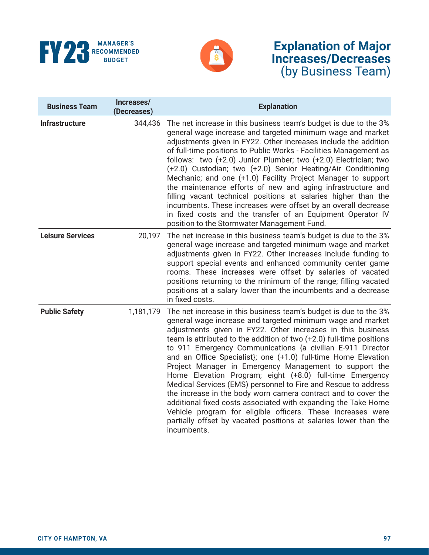



| <b>Business Team</b>    | Increases/<br>(Decreases) | <b>Explanation</b>                                                                                                                                                                                                                                                                                                                                                                                                                                                                                                                                                                                                                                                                                                                                                                                                                                                                  |  |  |
|-------------------------|---------------------------|-------------------------------------------------------------------------------------------------------------------------------------------------------------------------------------------------------------------------------------------------------------------------------------------------------------------------------------------------------------------------------------------------------------------------------------------------------------------------------------------------------------------------------------------------------------------------------------------------------------------------------------------------------------------------------------------------------------------------------------------------------------------------------------------------------------------------------------------------------------------------------------|--|--|
| <b>Infrastructure</b>   | 344,436                   | The net increase in this business team's budget is due to the 3%<br>general wage increase and targeted minimum wage and market<br>adjustments given in FY22. Other increases include the addition<br>of full-time positions to Public Works - Facilities Management as<br>follows: two (+2.0) Junior Plumber; two (+2.0) Electrician; two<br>(+2.0) Custodian; two (+2.0) Senior Heating/Air Conditioning<br>Mechanic; and one (+1.0) Facility Project Manager to support<br>the maintenance efforts of new and aging infrastructure and<br>filling vacant technical positions at salaries higher than the<br>incumbents. These increases were offset by an overall decrease<br>in fixed costs and the transfer of an Equipment Operator IV<br>position to the Stormwater Management Fund.                                                                                          |  |  |
| <b>Leisure Services</b> | 20,197                    | The net increase in this business team's budget is due to the 3%<br>general wage increase and targeted minimum wage and market<br>adjustments given in FY22. Other increases include funding to<br>support special events and enhanced community center game<br>rooms. These increases were offset by salaries of vacated<br>positions returning to the minimum of the range; filling vacated<br>positions at a salary lower than the incumbents and a decrease<br>in fixed costs.                                                                                                                                                                                                                                                                                                                                                                                                  |  |  |
| <b>Public Safety</b>    | 1,181,179                 | The net increase in this business team's budget is due to the 3%<br>general wage increase and targeted minimum wage and market<br>adjustments given in FY22. Other increases in this business<br>team is attributed to the addition of two (+2.0) full-time positions<br>to 911 Emergency Communications {a civilian E-911 Director<br>and an Office Specialist); one (+1.0) full-time Home Elevation<br>Project Manager in Emergency Management to support the<br>Home Elevation Program; eight (+8.0) full-time Emergency<br>Medical Services (EMS) personnel to Fire and Rescue to address<br>the increase in the body worn camera contract and to cover the<br>additional fixed costs associated with expanding the Take Home<br>Vehicle program for eligible officers. These increases were<br>partially offset by vacated positions at salaries lower than the<br>incumbents. |  |  |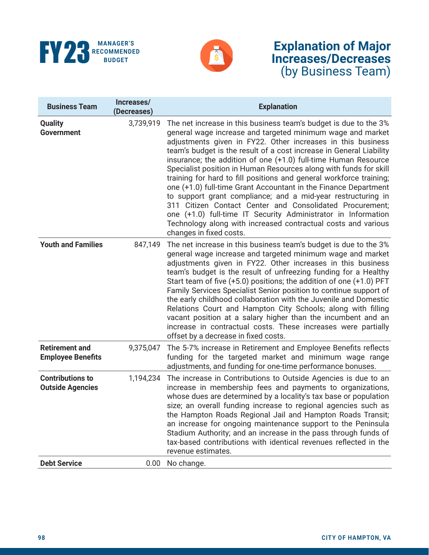



| <b>Business Team</b>                               | Increases/<br>(Decreases) | <b>Explanation</b>                                                                                                                                                                                                                                                                                                                                                                                                                                                                                                                                                                                                                                                                                                                                                                                                                             |  |  |
|----------------------------------------------------|---------------------------|------------------------------------------------------------------------------------------------------------------------------------------------------------------------------------------------------------------------------------------------------------------------------------------------------------------------------------------------------------------------------------------------------------------------------------------------------------------------------------------------------------------------------------------------------------------------------------------------------------------------------------------------------------------------------------------------------------------------------------------------------------------------------------------------------------------------------------------------|--|--|
| <b>Quality</b><br><b>Government</b>                | 3,739,919                 | The net increase in this business team's budget is due to the 3%<br>general wage increase and targeted minimum wage and market<br>adjustments given in FY22. Other increases in this business<br>team's budget is the result of a cost increase in General Liability<br>insurance; the addition of one (+1.0) full-time Human Resource<br>Specialist position in Human Resources along with funds for skill<br>training for hard to fill positions and general workforce training;<br>one (+1.0) full-time Grant Accountant in the Finance Department<br>to support grant compliance; and a mid-year restructuring in<br>311 Citizen Contact Center and Consolidated Procurement;<br>one (+1.0) full-time IT Security Administrator in Information<br>Technology along with increased contractual costs and various<br>changes in fixed costs. |  |  |
| <b>Youth and Families</b>                          | 847,149                   | The net increase in this business team's budget is due to the 3%<br>general wage increase and targeted minimum wage and market<br>adjustments given in FY22. Other increases in this business<br>team's budget is the result of unfreezing funding for a Healthy<br>Start team of five $(+5.0)$ positions; the addition of one $(+1.0)$ PFT<br>Family Services Specialist Senior position to continue support of<br>the early childhood collaboration with the Juvenile and Domestic<br>Relations Court and Hampton City Schools; along with filling<br>vacant position at a salary higher than the incumbent and an<br>increase in contractual costs. These increases were partially<br>offset by a decrease in fixed costs.                                                                                                                  |  |  |
| <b>Retirement and</b><br><b>Employee Benefits</b>  | 9,375,047                 | The 5-7% increase in Retirement and Employee Benefits reflects<br>funding for the targeted market and minimum wage range<br>adjustments, and funding for one-time performance bonuses.                                                                                                                                                                                                                                                                                                                                                                                                                                                                                                                                                                                                                                                         |  |  |
| <b>Contributions to</b><br><b>Outside Agencies</b> | 1,194,234                 | The increase in Contributions to Outside Agencies is due to an<br>increase in membership fees and payments to organizations,<br>whose dues are determined by a locality's tax base or population<br>size; an overall funding increase to regional agencies such as<br>the Hampton Roads Regional Jail and Hampton Roads Transit;<br>an increase for ongoing maintenance support to the Peninsula<br>Stadium Authority; and an increase in the pass through funds of<br>tax-based contributions with identical revenues reflected in the<br>revenue estimates.                                                                                                                                                                                                                                                                                  |  |  |
| <b>Debt Service</b>                                | 0.00                      | No change.                                                                                                                                                                                                                                                                                                                                                                                                                                                                                                                                                                                                                                                                                                                                                                                                                                     |  |  |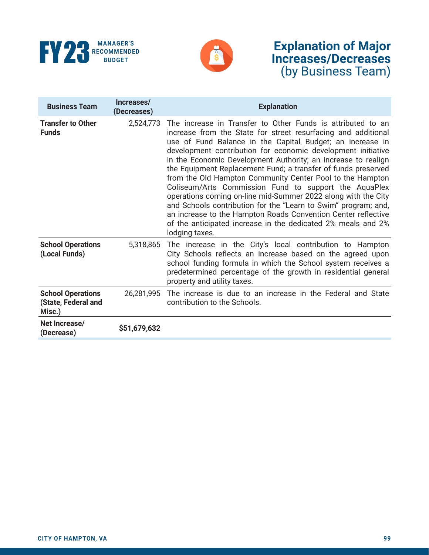



| <b>Business Team</b>                                      | Increases/<br>(Decreases) | <b>Explanation</b>                                                                                                                                                                                                                                                                                                                                                                                                                                                                                                                                                                                                                                                                                                                                                                                      |
|-----------------------------------------------------------|---------------------------|---------------------------------------------------------------------------------------------------------------------------------------------------------------------------------------------------------------------------------------------------------------------------------------------------------------------------------------------------------------------------------------------------------------------------------------------------------------------------------------------------------------------------------------------------------------------------------------------------------------------------------------------------------------------------------------------------------------------------------------------------------------------------------------------------------|
| <b>Transfer to Other</b><br><b>Funds</b>                  | 2,524,773                 | The increase in Transfer to Other Funds is attributed to an<br>increase from the State for street resurfacing and additional<br>use of Fund Balance in the Capital Budget; an increase in<br>development contribution for economic development initiative<br>in the Economic Development Authority; an increase to realign<br>the Equipment Replacement Fund; a transfer of funds preserved<br>from the Old Hampton Community Center Pool to the Hampton<br>Coliseum/Arts Commission Fund to support the AquaPlex<br>operations coming on-line mid-Summer 2022 along with the City<br>and Schools contribution for the "Learn to Swim" program; and,<br>an increase to the Hampton Roads Convention Center reflective<br>of the anticipated increase in the dedicated 2% meals and 2%<br>lodging taxes. |
| <b>School Operations</b><br>(Local Funds)                 | 5,318,865                 | The increase in the City's local contribution to Hampton<br>City Schools reflects an increase based on the agreed upon<br>school funding formula in which the School system receives a<br>predetermined percentage of the growth in residential general<br>property and utility taxes.                                                                                                                                                                                                                                                                                                                                                                                                                                                                                                                  |
| <b>School Operations</b><br>(State, Federal and<br>Misc.) | 26,281,995                | The increase is due to an increase in the Federal and State<br>contribution to the Schools.                                                                                                                                                                                                                                                                                                                                                                                                                                                                                                                                                                                                                                                                                                             |
| Net Increase/<br>(Decrease)                               | \$51,679,632              |                                                                                                                                                                                                                                                                                                                                                                                                                                                                                                                                                                                                                                                                                                                                                                                                         |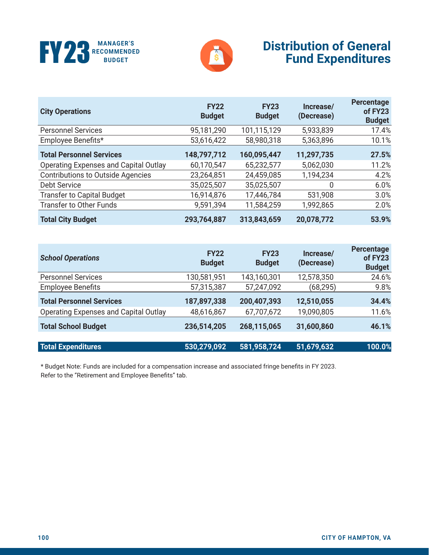



### **Distribution of General Fund Expenditures**

| <b>City Operations</b>                   | <b>FY22</b><br><b>Budget</b> | <b>FY23</b><br><b>Budget</b> | Increase/<br>(Decrease) | Percentage<br>of FY23<br><b>Budget</b> |
|------------------------------------------|------------------------------|------------------------------|-------------------------|----------------------------------------|
| <b>Personnel Services</b>                | 95,181,290                   | 101,115,129                  | 5,933,839               | 17.4%                                  |
| Employee Benefits*                       | 53,616,422                   | 58,980,318                   | 5,363,896               | 10.1%                                  |
| <b>Total Personnel Services</b>          | 148,797,712                  | 160,095,447                  | 11,297,735              | 27.5%                                  |
| Operating Expenses and Capital Outlay    | 60,170,547                   | 65,232,577                   | 5,062,030               | 11.2%                                  |
| <b>Contributions to Outside Agencies</b> | 23,264,851                   | 24,459,085                   | 1,194,234               | 4.2%                                   |
| <b>Debt Service</b>                      | 35,025,507                   | 35,025,507                   | 0                       | 6.0%                                   |
| <b>Transfer to Capital Budget</b>        | 16,914,876                   | 17,446,784                   | 531,908                 | 3.0%                                   |
| <b>Transfer to Other Funds</b>           | 9,591,394                    | 11,584,259                   | 1,992,865               | 2.0%                                   |
| <b>Total City Budget</b>                 | 293,764,887                  | 313,843,659                  | 20,078,772              | 53.9%                                  |

| <b>School Operations</b>                     | <b>FY22</b><br><b>Budget</b> | <b>FY23</b><br><b>Budget</b> | Increase/<br>(Decrease) | Percentage<br>of FY23<br><b>Budget</b> |
|----------------------------------------------|------------------------------|------------------------------|-------------------------|----------------------------------------|
| <b>Personnel Services</b>                    | 130,581,951                  | 143,160,301                  | 12,578,350              | 24.6%                                  |
| <b>Employee Benefits</b>                     | 57,315,387                   | 57,247,092                   | (68, 295)               | 9.8%                                   |
| <b>Total Personnel Services</b>              | 187,897,338                  | 200,407,393                  | 12,510,055              | 34.4%                                  |
| <b>Operating Expenses and Capital Outlay</b> | 48,616,867                   | 67,707,672                   | 19,090,805              | 11.6%                                  |
| <b>Total School Budget</b>                   | 236,514,205                  | 268,115,065                  | 31,600,860              | 46.1%                                  |
| <b>Total Expenditures</b>                    | 530,279,092                  | 581,958,724                  | 51,679,632              | 100.0%                                 |

\* Budget Note: Funds are included for a compensation increase and associated fringe benefits in FY 2023. Refer to the "Retirement and Employee Benefits" tab.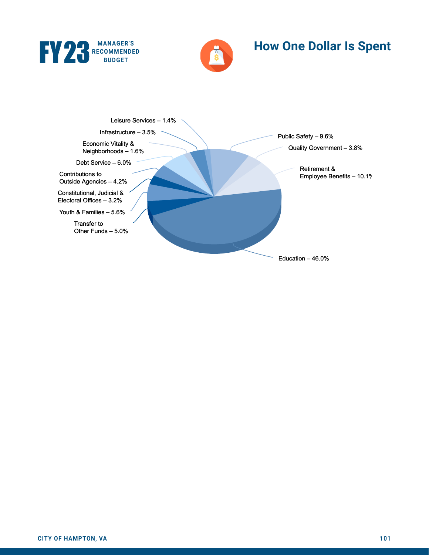



# **How One Dollar Is Spent**